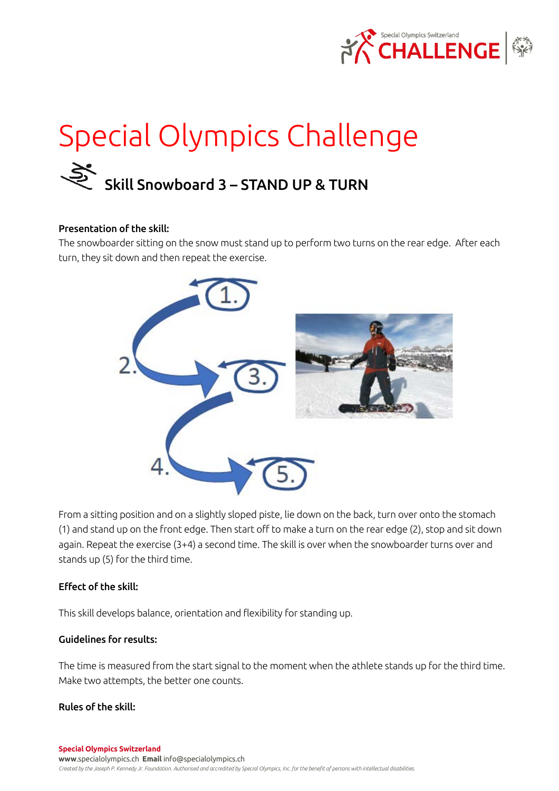

# Special Olympics Challenge Skill Snowboard 3 – STAND UP & TURN

### Presentation of the skill:

The snowboarder sitting on the snow must stand up to perform two turns on the rear edge. After each turn, they sit down and then repeat the exercise.



From a sitting position and on a slightly sloped piste, lie down on the back, turn over onto the stomach (1) and stand up on the front edge. Then start off to make a turn on the rear edge (2), stop and sit down again. Repeat the exercise (3+4) a second time. The skill is over when the snowboarder turns over and stands up (5) for the third time.

#### Effect of the skill:

This skill develops balance, orientation and flexibility for standing up.

## Guidelines for results:

The time is measured from the start signal to the moment when the athlete stands up for the third time. Make two attempts, the better one counts.

#### Rules of the skill: